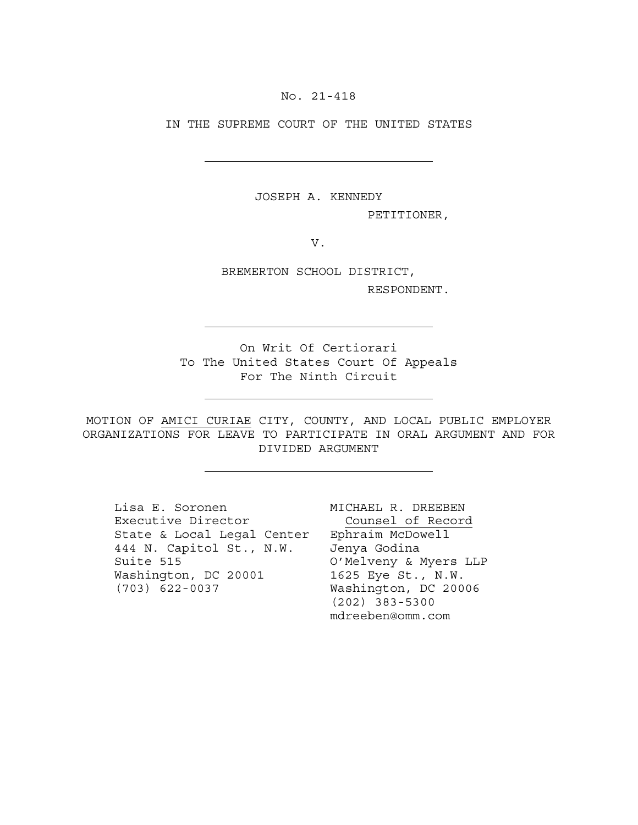No. 21-418

IN THE SUPREME COURT OF THE UNITED STATES

JOSEPH A. KENNEDY

PETITIONER,

V.

BREMERTON SCHOOL DISTRICT,

RESPONDENT.

On Writ Of Certiorari To The United States Court Of Appeals For The Ninth Circuit

MOTION OF AMICI CURIAE CITY, COUNTY, AND LOCAL PUBLIC EMPLOYER ORGANIZATIONS FOR LEAVE TO PARTICIPATE IN ORAL ARGUMENT AND FOR DIVIDED ARGUMENT

Lisa E. Soronen Executive Director State & Local Legal Center Ephraim McDowell 444 N. Capitol St., N.W. Suite 515 Washington, DC 20001 1625 Eye St., N.W. (703) 622-0037

MICHAEL R. DREEBEN Counsel of Record Jenya Godina O'Melveny & Myers LLP Washington, DC 20006 (202) 383-5300 mdreeben@omm.com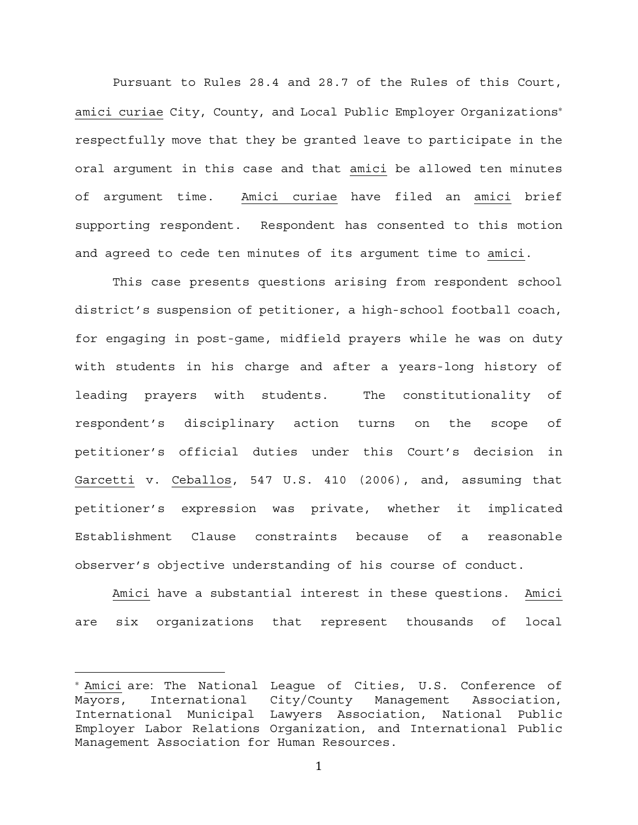Pursuant to Rules 28.4 and 28.7 of the Rules of this Court, amici curiae City, County, and Local Public Employer Organizations<sup>∗</sup> respectfully move that they be granted leave to participate in the oral argument in this case and that amici be allowed ten minutes of argument time. Amici curiae have filed an amici brief supporting respondent. Respondent has consented to this motion and agreed to cede ten minutes of its argument time to amici.

This case presents questions arising from respondent school district's suspension of petitioner, a high-school football coach, for engaging in post-game, midfield prayers while he was on duty with students in his charge and after a years-long history of leading prayers with students. The constitutionality of respondent's disciplinary action turns on the scope of petitioner's official duties under this Court's decision in Garcetti v. Ceballos, 547 U.S. 410 (2006), and, assuming that petitioner's expression was private, whether it implicated Establishment Clause constraints because of a reasonable observer's objective understanding of his course of conduct.

Amici have a substantial interest in these questions. Amici are six organizations that represent thousands of local

<sup>∗</sup> Amici are: The National League of Cities, U.S. Conference of Mayors, International City/County Management Association, International Municipal Lawyers Association, National Public Employer Labor Relations Organization, and International Public Management Association for Human Resources.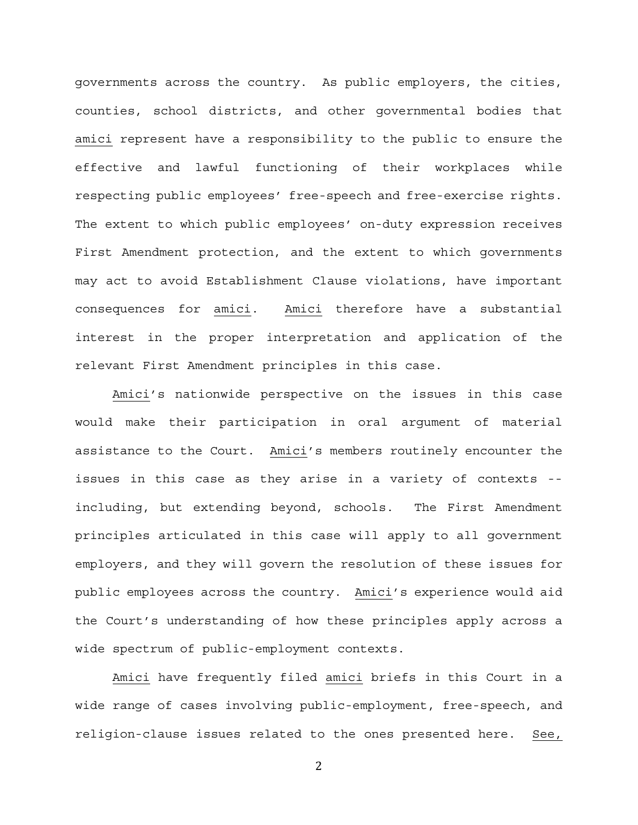governments across the country. As public employers, the cities, counties, school districts, and other governmental bodies that amici represent have a responsibility to the public to ensure the effective and lawful functioning of their workplaces while respecting public employees' free-speech and free-exercise rights. The extent to which public employees' on-duty expression receives First Amendment protection, and the extent to which governments may act to avoid Establishment Clause violations, have important consequences for amici. Amici therefore have a substantial interest in the proper interpretation and application of the relevant First Amendment principles in this case.

Amici's nationwide perspective on the issues in this case would make their participation in oral argument of material assistance to the Court. Amici's members routinely encounter the issues in this case as they arise in a variety of contexts - including, but extending beyond, schools. The First Amendment principles articulated in this case will apply to all government employers, and they will govern the resolution of these issues for public employees across the country. Amici's experience would aid the Court's understanding of how these principles apply across a wide spectrum of public-employment contexts.

Amici have frequently filed amici briefs in this Court in a wide range of cases involving public-employment, free-speech, and religion-clause issues related to the ones presented here. See,

2